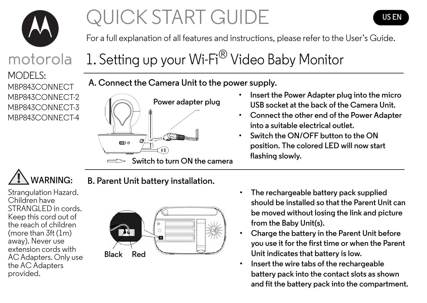

# QUICK START GUIDE



For a full explanation of all features and instructions, please refer to the User's Guide.

# motorola

MODELS: MBP843CONNECT MBP843CONNECT-2 MBP843CONNECT-3 MBP843CONNECT-4

# 1. Setting up your Wi-Fi<sup>®</sup> Video Baby Monitor

**A. Connect the Camera Unit to the power supply.**



- **Insert the Power Adapter plug into the micro USB socket at the back of the Camera Unit.**
- **Connect the other end of the Power Adapter into a suitable electrical outlet.**
- **Switch the ON/OFF button to the ON position. The colored LED will now start flashing slowly.**

# **WARNING:**

Strangulation Hazard. Children have STRANGLED in cords. Keep this cord out of the reach of children (more than 3ft (1m) away). Never use extension cords with AC Adapters. Only use the AC Adapters provided.

## **B. Parent Unit battery installation.**



- **The rechargeable battery pack supplied should be installed so that the Parent Unit can be moved without losing the link and picture from the Baby Unit(s).**
- **Charge the battery in the Parent Unit before you use it for the first time or when the Parent Unit indicates that battery is low.**
- **Insert the wire tabs of the rechargeable battery pack into the contact slots as shown and fit the battery pack into the compartment.**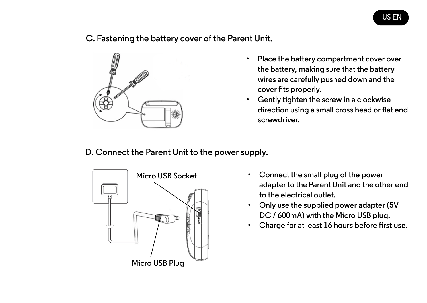#### **C. Fastening the battery cover of the Parent Unit.**



- **Place the battery compartment cover over the battery, making sure that the battery wires are carefully pushed down and the cover fits properly.**
- **Gently tighten the screw in a clockwise direction using a small cross head or flat end screwdriver.**

**D. Connect the Parent Unit to the power supply.**



- **Connect the small plug of the power adapter to the Parent Unit and the other end to the electrical outlet.**
- **Only use the supplied power adapter (5V DC / 600mA) with the Micro USB plug.**
- **Charge for at least 16 hours before first use.**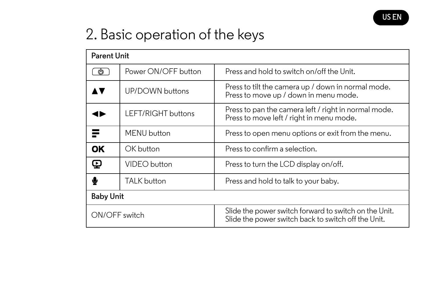

# 2. Basic operation of the keys

| <b>Parent Unit</b> |                     |                                                                                                              |
|--------------------|---------------------|--------------------------------------------------------------------------------------------------------------|
| ம                  | Power ON/OFF button | Press and hold to switch on/off the Unit.                                                                    |
|                    | UP/DOWN buttons     | Press to tilt the camera up / down in normal mode.<br>Press to move up / down in menu mode.                  |
|                    | LEFT/RIGHT buttons  | Press to pan the camera left / right in normal mode.<br>Press to move left / right in menu mode.             |
| ≡                  | MENU button         | Press to open menu options or exit from the menu.                                                            |
| OK                 | OK button           | Press to confirm a selection.                                                                                |
| φ                  | VIDEO button        | Press to turn the LCD display on/off.                                                                        |
|                    | <b>TALK</b> button  | Press and hold to talk to your baby.                                                                         |
| <b>Baby Unit</b>   |                     |                                                                                                              |
| ON/OFF switch      |                     | Slide the power switch forward to switch on the Unit.<br>Slide the power switch back to switch off the Unit. |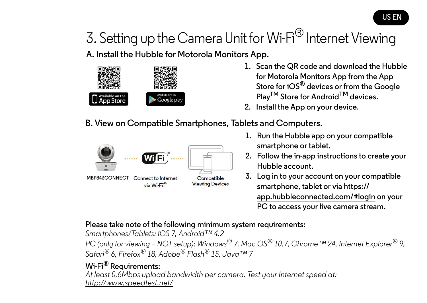# 3. Setting up the Camera Unit for Wi-Fi<sup>®</sup> Internet Viewing

**A. Install the Hubble for Motorola Monitors App.**



- **1. Scan the QR code and download the Hubble for Motorola Monitors App from the App Store for iOS® devices or from the Google PlayTM Store for AndroidTM devices.**
- **2. Install the App on your device.**
- **B. View on Compatible Smartphones, Tablets and Computers.**



- **1. Run the Hubble app on your compatible smartphone or tablet.**
- **2. Follow the in-app instructions to create your Hubble account.**
- **3. Log in to your account on your compatible smartphone, tablet or via https:// app.hubbleconnected.com/#login on your PC to access your live camera stream.**

#### **Please take note of the following minimum system requirements:**

*Smartphones/Tablets: iOS 7, Android™ 4.2 PC (only for viewing – NOT setup): Windows® 7, Mac OS® 10.7, Chrome™ 24, Internet Explorer® 9, Safari® 6, Firefox® 18, Adobe® Flash® 15, Java™ 7*

### **Wi-Fi® Requirements:**

*At least 0.6Mbps upload bandwidth per camera. Test your Internet speed at: http://www.speedtest.net/*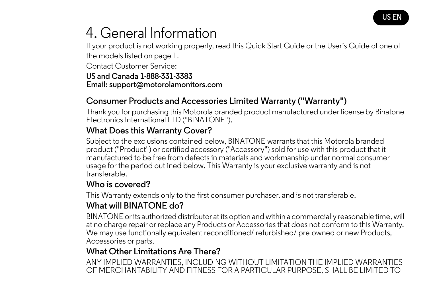

# 4. General Information

If your product is not working properly, read this Quick Start Guide or the User's Guide of one of the models listed on page 1.

Contact Customer Service: **US and Canada 1-888-331-3383 Email: support@motorolamonitors.com**

## **Consumer Products and Accessories Limited Warranty ("Warranty")**

Thank you for purchasing this Motorola branded product manufactured under license by Binatone Electronics International LTD ("BINATONE").

### **What Does this Warranty Cover?**

Subject to the exclusions contained below, BINATONE warrants that this Motorola branded product ("Product") or certified accessory ("Accessory") sold for use with this product that it manufactured to be free from defects in materials and workmanship under normal consumer usage for the period outlined below. This Warranty is your exclusive warranty and is not transferable.

#### **Who is covered?**

This Warranty extends only to the first consumer purchaser, and is not transferable.

## **What will BINATONE do?**

BINATONE or its authorized distributor at its option and within a commercially reasonable time, will at no charge repair or replace any Products or Accessories that does not conform to this Warranty. We may use functionally equivalent reconditioned/ refurbished/ pre-owned or new Products, Accessories or parts.

## **What Other Limitations Are There?**

ANY IMPLIED WARRANTIES, INCLUDING WITHOUT LIMITATION THE IMPLIED WARRANTIES OF MERCHANTABILITY AND FITNESS FOR A PARTICULAR PURPOSE, SHALL BE LIMITED TO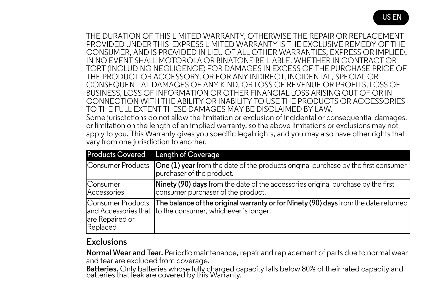THE DURATION OF THIS LIMITED WARRANTY, OTHERWISE THE REPAIR OR REPLACEMENT PROVIDED UNDER THIS EXPRESS LIMITED WARRANTY IS THE EXCLUSIVE REMEDY OF THE CONSUMER, AND IS PROVIDED IN LIEU OF ALL OTHER WARRANTIES, EXPRESS OR IMPLIED. IN NO EVENT SHALL MOTOROLA OR BINATONE BE LIABLE, WHETHER IN CONTRACT OR TORT (INCLUDING NEGLIGENCE) FOR DAMAGES IN EXCESS OF THE PURCHASE PRICE OF THE PRODUCT OR ACCESSORY, OR FOR ANY INDIRECT, INCIDENTAL, SPECIAL OR CONSEQUENTIAL DAMAGES OF ANY KIND, OR LOSS OF REVENUE OR PROFITS, LOSS OF BUSINESS, LOSS OF INFORMATION OR OTHER FINANCIAL LOSS ARISING OUT OF OR IN CONNECTION WITH THE ABILITY OR INABILITY TO USE THE PRODUCTS OR ACCESSORIES TO THE FULL EXTENT THESE DAMAGES MAY BE DISCLAIMED BY LAW. Some jurisdictions do not allow the limitation or exclusion of incidental or consequential damages, or limitation on the length of an implied warranty, so the above limitations or exclusions may not apply to you. This Warranty gives you specific legal rights, and you may also have other rights that vary from one jurisdiction to another.

| <b>Products Covered</b>                          | Length of Coverage                                                                                                                                |
|--------------------------------------------------|---------------------------------------------------------------------------------------------------------------------------------------------------|
| Consumer Products                                | <b>One (1) year</b> from the date of the products original purchase by the first consumer<br>purchaser of the product.                            |
| Consumer<br>Accessories                          | <b>Ninety (90) days</b> from the date of the accessories original purchase by the first<br>consumer purchaser of the product.                     |
| Consumer Products<br>are Repaired or<br>Replaced | The balance of the original warranty or for Ninety (90) days from the date returned<br>and Accessories that to the consumer, whichever is longer. |

#### **Exclusions**

**Normal Wear and Tear.** Periodic maintenance, repair and replacement of parts due to normal wear and tear are excluded from coverage.

**Batteries.** Only batteries whose fully charged capacity falls below 80% of their rated capacity and batteries that leak are covered by this Warranty.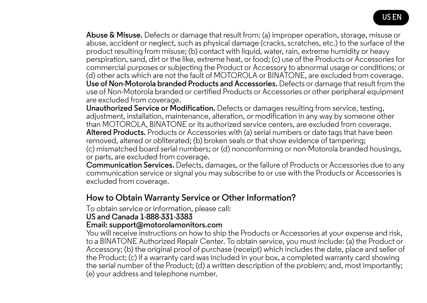

**Abuse & Misuse.** Defects or damage that result from: (a) improper operation, storage, misuse or abuse, accident or neglect, such as physical damage (cracks, scratches, etc.) to the surface of the product resulting from misuse; (b) contact with liquid, water, rain, extreme humidity or heavy perspiration, sand, dirt or the like, extreme heat, or food; (c) use of the Products or Accessories for commercial purposes or subjecting the Product or Accessory to abnormal usage or conditions; or (d) other acts which are not the fault of MOTOROLA or BINATONE, are excluded from coverage. **Use of Non-Motorola branded Products and Accessories.** Defects or damage that result from the use of Non-Motorola branded or certified Products or Accessories or other peripheral equipment are excluded from coverage.

**Unauthorized Service or Modification.** Defects or damages resulting from service, testing, adjustment, installation, maintenance, alteration, or modification in any way by someone other than MOTOROLA, BINATONE or its authorized service centers, are excluded from coverage. **Altered Products.** Products or Accessories with (a) serial numbers or date tags that have been removed, altered or obliterated; (b) broken seals or that show evidence of tampering; (c) mismatched board serial numbers; or (d) nonconforming or non-Motorola branded housings, or parts, are excluded from coverage.

**Communication Services.** Defects, damages, or the failure of Products or Accessories due to any communication service or signal you may subscribe to or use with the Products or Accessories is excluded from coverage.

#### **How to Obtain Warranty Service or Other Information?**

To obtain service or information, please call:

#### **US and Canada 1-888-331-3383**

#### **Email: support@motorolamonitors.com**

You will receive instructions on how to ship the Products or Accessories at your expense and risk, to a BINATONE Authorized Repair Center. To obtain service, you must include: (a) the Product or Accessory; (b) the original proof of purchase (receipt) which includes the date, place and seller of the Product; (c) if a warranty card was included in your box, a completed warranty card showing the serial number of the Product; (d) a written description of the problem; and, most importantly; (e) your address and telephone number.